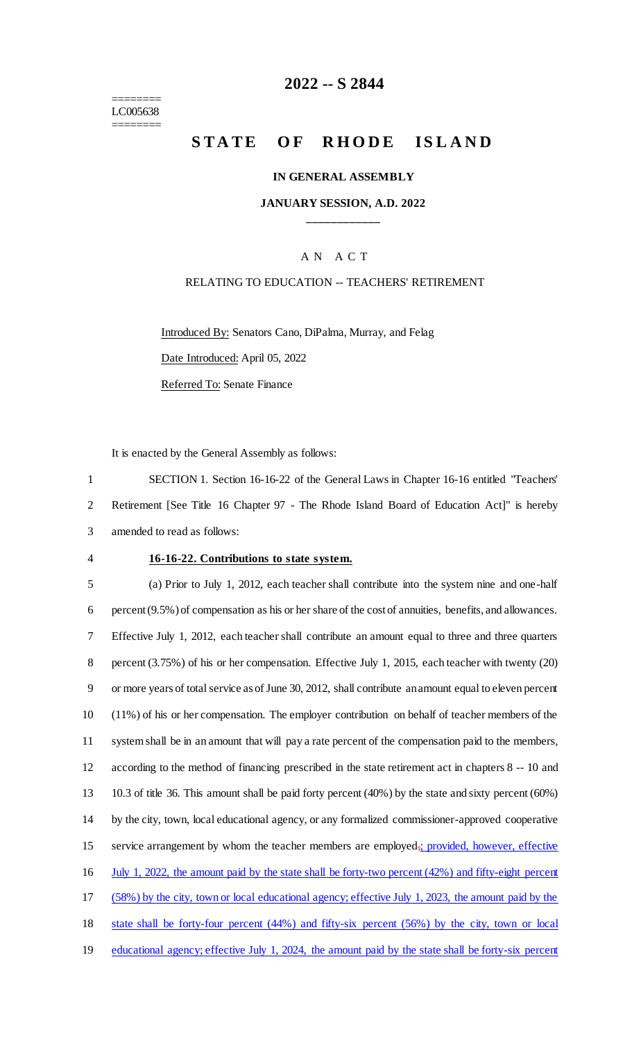======== LC005638 ========

## **2022 -- S 2844**

# **STATE OF RHODE ISLAND**

#### **IN GENERAL ASSEMBLY**

### **JANUARY SESSION, A.D. 2022 \_\_\_\_\_\_\_\_\_\_\_\_**

### A N A C T

#### RELATING TO EDUCATION -- TEACHERS' RETIREMENT

Introduced By: Senators Cano, DiPalma, Murray, and Felag Date Introduced: April 05, 2022 Referred To: Senate Finance

It is enacted by the General Assembly as follows:

1 SECTION 1. Section 16-16-22 of the General Laws in Chapter 16-16 entitled "Teachers' 2 Retirement [See Title 16 Chapter 97 - The Rhode Island Board of Education Act]" is hereby 3 amended to read as follows:

#### 4 **16-16-22. Contributions to state system.**

 (a) Prior to July 1, 2012, each teacher shall contribute into the system nine and one-half percent (9.5%) of compensation as his or her share of the cost of annuities, benefits, and allowances. Effective July 1, 2012, each teacher shall contribute an amount equal to three and three quarters percent (3.75%) of his or her compensation. Effective July 1, 2015, each teacher with twenty (20) or more years of total service as of June 30, 2012, shall contribute an amount equal to eleven percent (11%) of his or her compensation. The employer contribution on behalf of teacher members of the system shall be in an amount that will pay a rate percent of the compensation paid to the members, according to the method of financing prescribed in the state retirement act in chapters 8 -- 10 and 10.3 of title 36. This amount shall be paid forty percent (40%) by the state and sixty percent (60%) by the city, town, local educational agency, or any formalized commissioner-approved cooperative 15 service arrangement by whom the teacher members are employed<sub>i</sub>; provided, however, effective July 1, 2022, the amount paid by the state shall be forty-two percent (42%) and fifty-eight percent (58%) by the city, town or local educational agency; effective July 1, 2023, the amount paid by the state shall be forty-four percent (44%) and fifty-six percent (56%) by the city, town or local educational agency; effective July 1, 2024, the amount paid by the state shall be forty-six percent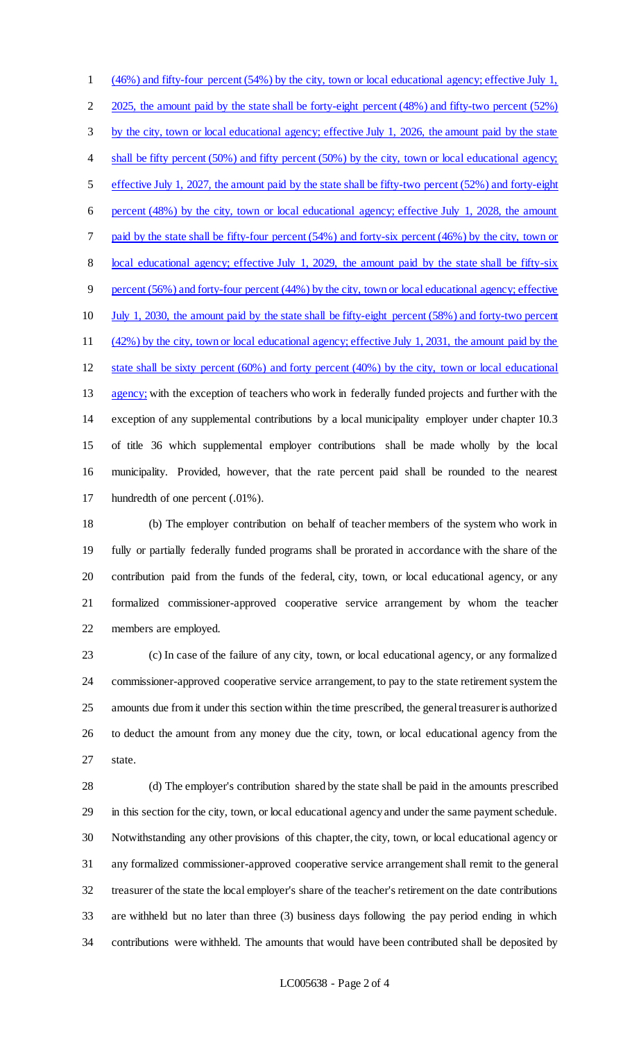(46%) and fifty-four percent (54%) by the city, town or local educational agency; effective July 1, 2 2025, the amount paid by the state shall be forty-eight percent (48%) and fifty-two percent (52%) by the city, town or local educational agency; effective July 1, 2026, the amount paid by the state 4 shall be fifty percent (50%) and fifty percent (50%) by the city, town or local educational agency; effective July 1, 2027, the amount paid by the state shall be fifty-two percent (52%) and forty-eight percent (48%) by the city, town or local educational agency; effective July 1, 2028, the amount paid by the state shall be fifty-four percent (54%) and forty-six percent (46%) by the city, town or 8 local educational agency; effective July 1, 2029, the amount paid by the state shall be fifty-six percent (56%) and forty-four percent (44%) by the city, town or local educational agency; effective July 1, 2030, the amount paid by the state shall be fifty-eight percent (58%) and forty-two percent (42%) by the city, town or local educational agency; effective July 1, 2031, the amount paid by the state shall be sixty percent (60%) and forty percent (40%) by the city, town or local educational 13 agency; with the exception of teachers who work in federally funded projects and further with the exception of any supplemental contributions by a local municipality employer under chapter 10.3 of title 36 which supplemental employer contributions shall be made wholly by the local municipality. Provided, however, that the rate percent paid shall be rounded to the nearest hundredth of one percent (.01%).

 (b) The employer contribution on behalf of teacher members of the system who work in fully or partially federally funded programs shall be prorated in accordance with the share of the contribution paid from the funds of the federal, city, town, or local educational agency, or any formalized commissioner-approved cooperative service arrangement by whom the teacher members are employed.

 (c) In case of the failure of any city, town, or local educational agency, or any formalized commissioner-approved cooperative service arrangement, to pay to the state retirement system the amounts due from it under this section within the time prescribed, the general treasurer is authorized to deduct the amount from any money due the city, town, or local educational agency from the state.

 (d) The employer's contribution shared by the state shall be paid in the amounts prescribed in this section for the city, town, or local educational agency and under the same payment schedule. Notwithstanding any other provisions of this chapter, the city, town, or local educational agency or any formalized commissioner-approved cooperative service arrangement shall remit to the general treasurer of the state the local employer's share of the teacher's retirement on the date contributions are withheld but no later than three (3) business days following the pay period ending in which contributions were withheld. The amounts that would have been contributed shall be deposited by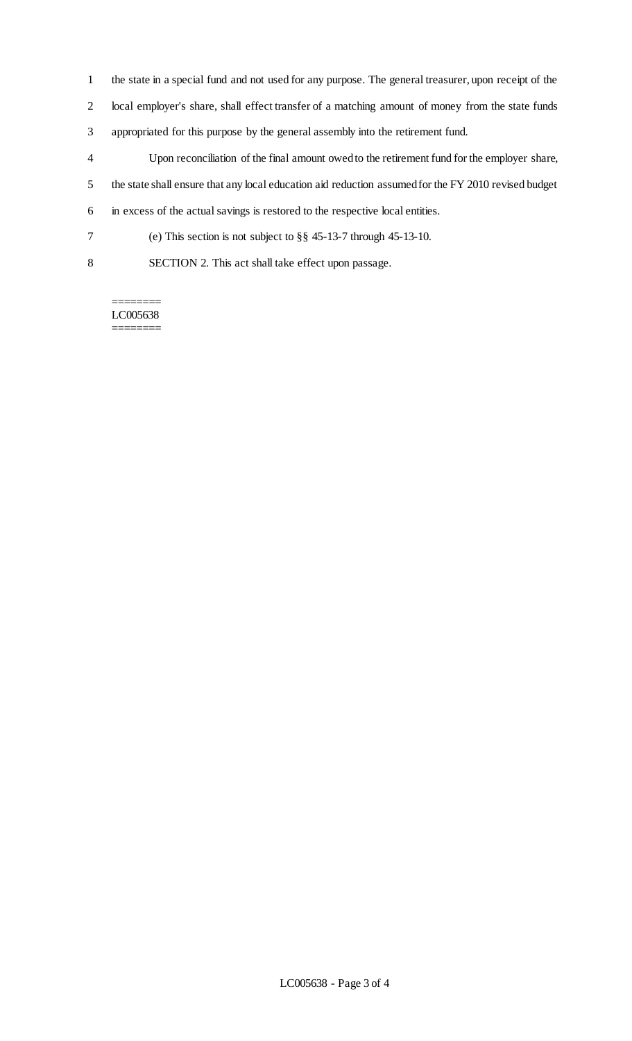- the state in a special fund and not used for any purpose. The general treasurer, upon receipt of the
- local employer's share, shall effect transfer of a matching amount of money from the state funds
- appropriated for this purpose by the general assembly into the retirement fund.
- Upon reconciliation of the final amount owed to the retirement fund for the employer share,
- the state shall ensure that any local education aid reduction assumed for the FY 2010 revised budget
- in excess of the actual savings is restored to the respective local entities.
- (e) This section is not subject to §§ 45-13-7 through 45-13-10.
- SECTION 2. This act shall take effect upon passage.

LC005638 ========

 $=$